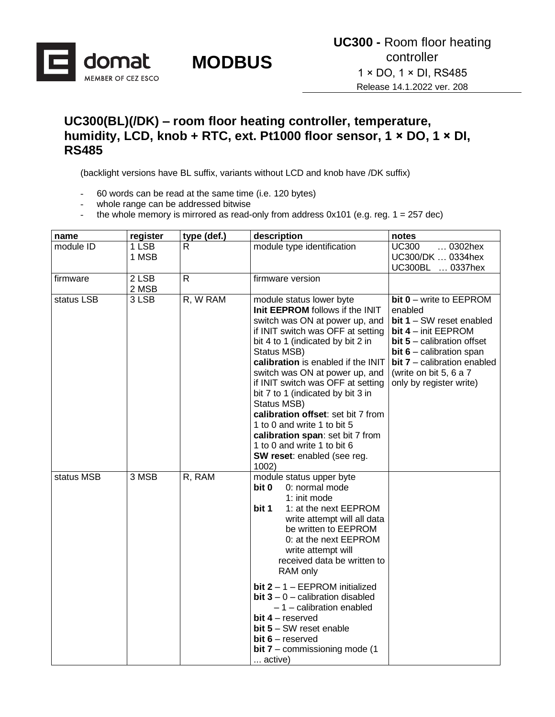

#### **UC300(BL)(/DK) – room floor heating controller, temperature, humidity, LCD, knob + RTC, ext. Pt1000 floor sensor, 1 × DO, 1 × DI, RS485**

(backlight versions have BL suffix, variants without LCD and knob have /DK suffix)

- 60 words can be read at the same time (i.e. 120 bytes)
- whole range can be addressed bitwise
- the whole memory is mirrored as read-only from address  $0x101$  (e.g. reg.  $1 = 257$  dec)

| name       | register       | type (def.) | description                                                                                                                                                                                                                                                                                                                                                                                                                                                                                                                             | notes                                                                                                                                                                                                                                       |
|------------|----------------|-------------|-----------------------------------------------------------------------------------------------------------------------------------------------------------------------------------------------------------------------------------------------------------------------------------------------------------------------------------------------------------------------------------------------------------------------------------------------------------------------------------------------------------------------------------------|---------------------------------------------------------------------------------------------------------------------------------------------------------------------------------------------------------------------------------------------|
| module ID  | 1 LSB<br>1 MSB | R           | module type identification                                                                                                                                                                                                                                                                                                                                                                                                                                                                                                              | <b>UC300</b><br>0302hex<br>UC300/DK  0334hex<br>UC300BL  0337hex                                                                                                                                                                            |
| firmware   | 2 LSB<br>2 MSB | R           | firmware version                                                                                                                                                                                                                                                                                                                                                                                                                                                                                                                        |                                                                                                                                                                                                                                             |
| status LSB | 3 LSB          | R, W RAM    | module status lower byte<br>Init EEPROM follows if the INIT<br>switch was ON at power up, and<br>if INIT switch was OFF at setting<br>bit 4 to 1 (indicated by bit 2 in<br>Status MSB)<br>calibration is enabled if the INIT<br>switch was ON at power up, and<br>if INIT switch was OFF at setting<br>bit 7 to 1 (indicated by bit 3 in<br>Status MSB)<br>calibration offset: set bit 7 from<br>1 to 0 and write 1 to bit 5<br>calibration span: set bit 7 from<br>1 to 0 and write 1 to bit 6<br>SW reset: enabled (see reg.<br>1002) | bit 0 - write to EEPROM<br>enabled<br>$bit 1 - SW$ reset enabled<br>bit 4 - init EEPROM<br>$bit 5 - calibration offset$<br>bit $6$ – calibration span<br>$bit 7$ – calibration enabled<br>(write on bit 5, 6 a 7<br>only by register write) |
| status MSB | 3 MSB          | R, RAM      | module status upper byte<br>bit 0<br>0: normal mode<br>1: init mode<br>bit 1<br>1: at the next EEPROM<br>write attempt will all data<br>be written to EEPROM<br>0: at the next EEPROM<br>write attempt will<br>received data be written to<br>RAM only<br>bit $2 - 1 - EEPROM$ initialized<br>bit $3 - 0$ – calibration disabled<br>$-1$ - calibration enabled<br>bit $4$ – reserved<br>$bit 5 - SW$ reset enable<br>bit $6$ – reserved<br>bit $7$ – commissioning mode (1)<br>active)                                                  |                                                                                                                                                                                                                                             |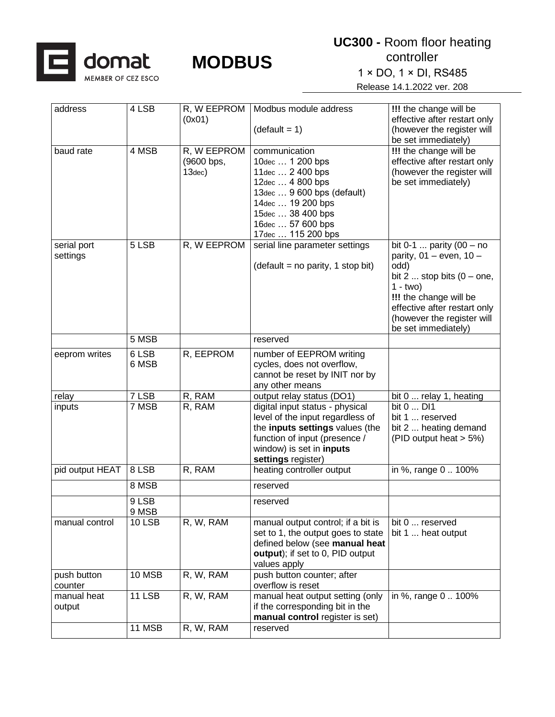

| address                 | 4 LSB          | R, W EEPROM<br>(0x01)                          | Modbus module address<br>$(detault = 1)$                                                                                                                                                     | !!! the change will be<br>effective after restart only<br>(however the register will<br>be set immediately)                                                                                                                          |
|-------------------------|----------------|------------------------------------------------|----------------------------------------------------------------------------------------------------------------------------------------------------------------------------------------------|--------------------------------------------------------------------------------------------------------------------------------------------------------------------------------------------------------------------------------------|
| baud rate               | 4 MSB          | R, W EEPROM<br>(9600 bps,<br>13 <sub>dec</sub> | communication<br>10dec  1 200 bps<br>11dec  2 400 bps<br>12dec  4 800 bps<br>13dec  9 600 bps (default)<br>14dec  19 200 bps<br>15dec  38 400 bps<br>16dec  57 600 bps<br>17dec  115 200 bps | <b>!!!</b> the change will be<br>effective after restart only<br>(however the register will<br>be set immediately)                                                                                                                   |
| serial port<br>settings | 5 LSB          | R, W EEPROM                                    | serial line parameter settings<br>$(detault = no parity, 1 stop bit)$                                                                                                                        | bit 0-1  parity $(00 - no$<br>parity, $01 -$ even, $10 -$<br>odd)<br>bit $2 \dots$ stop bits $(0 -$ one,<br>$1 - two$<br>!!! the change will be<br>effective after restart only<br>(however the register will<br>be set immediately) |
|                         | 5 MSB          |                                                | reserved                                                                                                                                                                                     |                                                                                                                                                                                                                                      |
| eeprom writes           | 6 LSB<br>6 MSB | R, EEPROM                                      | number of EEPROM writing<br>cycles, does not overflow,<br>cannot be reset by INIT nor by<br>any other means                                                                                  |                                                                                                                                                                                                                                      |
| relay                   | 7 LSB          | R, RAM                                         | output relay status (DO1)                                                                                                                                                                    | bit 0  relay 1, heating                                                                                                                                                                                                              |
| inputs                  | 7 MSB          | R, RAM                                         | digital input status - physical<br>level of the input regardless of<br>the inputs settings values (the<br>function of input (presence /<br>window) is set in inputs<br>settings register)    | bit 0  DI1<br>bit 1  reserved<br>bit 2  heating demand<br>(PID output heat > 5%)                                                                                                                                                     |
| pid output HEAT         | 8 LSB          | R, RAM                                         | heating controller output                                                                                                                                                                    | in %, range 0  100%                                                                                                                                                                                                                  |
|                         | 8 MSB          |                                                | reserved                                                                                                                                                                                     |                                                                                                                                                                                                                                      |
|                         | 9 LSB<br>9 MSB |                                                | reserved                                                                                                                                                                                     |                                                                                                                                                                                                                                      |
| manual control          | <b>10 LSB</b>  | R, W, RAM                                      | manual output control; if a bit is<br>set to 1, the output goes to state<br>defined below (see manual heat<br>output); if set to 0, PID output<br>values apply                               | bit 0  reserved<br>bit 1  heat output                                                                                                                                                                                                |
| push button<br>counter  | 10 MSB         | R, W, RAM                                      | push button counter; after<br>overflow is reset                                                                                                                                              |                                                                                                                                                                                                                                      |
| manual heat<br>output   | <b>11 LSB</b>  | R, W, RAM                                      | manual heat output setting (only<br>if the corresponding bit in the<br>manual control register is set)                                                                                       | in %, range 0  100%                                                                                                                                                                                                                  |
|                         | 11 MSB         | R, W, RAM                                      | reserved                                                                                                                                                                                     |                                                                                                                                                                                                                                      |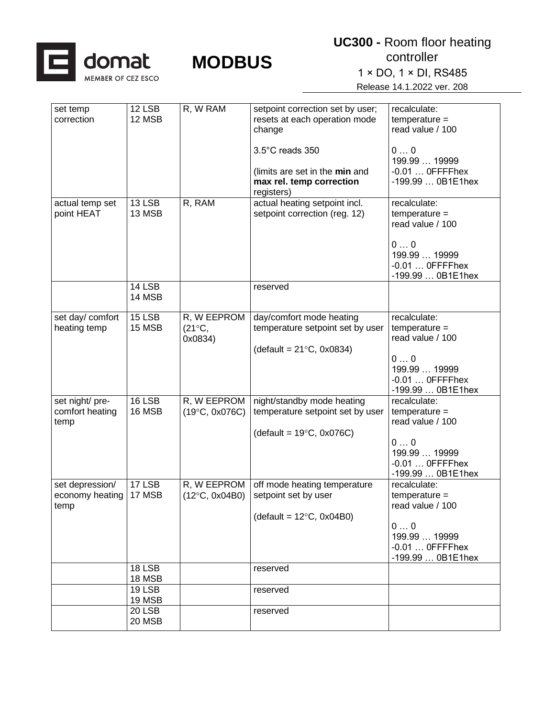

1 × DO, 1 × DI, RS485

| set temp<br>correction                     | 12 LSB<br>12 MSB           | R, W RAM                                  | setpoint correction set by user;<br>resets at each operation mode<br>change                          | recalculate:<br>$temperature =$<br>read value / 100                                                                 |
|--------------------------------------------|----------------------------|-------------------------------------------|------------------------------------------------------------------------------------------------------|---------------------------------------------------------------------------------------------------------------------|
|                                            |                            |                                           | 3.5°C reads 350<br>(limits are set in the min and<br>max rel. temp correction<br>registers)          | 00<br>199.99  19999<br>$-0.01$ OFFFFhex<br>-199.99  0B1E1hex                                                        |
| actual temp set<br>point HEAT              | 13 LSB<br>13 MSB           | R, RAM                                    | actual heating setpoint incl.<br>setpoint correction (reg. 12)                                       | recalculate:<br>$temperature =$<br>read value / 100<br>00<br>199.99  19999<br>$-0.01$ OFFFFhex<br>-199.99  0B1E1hex |
|                                            | <b>14 LSB</b><br>14 MSB    |                                           | reserved                                                                                             |                                                                                                                     |
| set day/ comfort<br>heating temp           | 15 LSB<br>15 MSB           | R, W EEPROM<br>$(21^{\circ}C,$<br>0x0834) | day/comfort mode heating<br>temperature setpoint set by user<br>(default = $21^{\circ}C$ , 0x0834)   | recalculate:<br>$temperature =$<br>read value / 100<br>00<br>199.99  19999<br>$-0.01$ OFFFFhex<br>-199.99  0B1E1hex |
| set night/ pre-<br>comfort heating<br>temp | 16 LSB<br>16 MSB           | R, W EEPROM<br>$(19^{\circ}C, 0x076C)$    | night/standby mode heating<br>temperature setpoint set by user<br>(default = $19^{\circ}$ C, 0x076C) | recalculate:<br>$temperature =$<br>read value / 100<br>00<br>199.99  19999<br>$-0.01$ OFFFFhex<br>-199.99  0B1E1hex |
| set depression/<br>economy heating<br>temp | $17$ LSB<br>17 MSB         | R, W EEPROM<br>$(12^{\circ}C, 0x04B0)$    | off mode heating temperature<br>setpoint set by user<br>(default = $12^{\circ}$ C, 0x04B0)           | recalculate:<br>$temperature =$<br>read value / 100<br>00<br>199.99  19999<br>$-0.01$ OFFFFhex<br>-199.99  0B1E1hex |
|                                            | <b>18 LSB</b><br>18 MSB    |                                           | reserved                                                                                             |                                                                                                                     |
|                                            | 19 LSB<br>19 MSB<br>20 LSB |                                           | reserved<br>reserved                                                                                 |                                                                                                                     |
|                                            | 20 MSB                     |                                           |                                                                                                      |                                                                                                                     |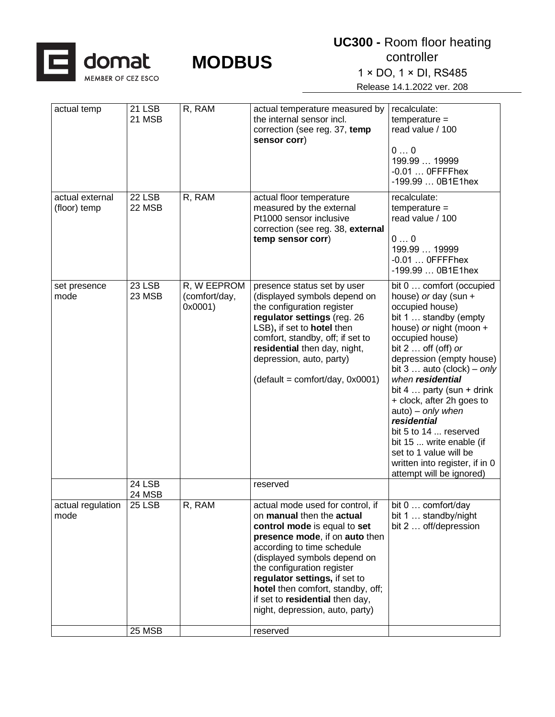

1 × DO, 1 × DI, RS485

| actual temp                     | 21 LSB<br>21 MSB        | R, RAM                                  | actual temperature measured by<br>the internal sensor incl.<br>correction (see reg. 37, temp<br>sensor corr)                                                                                                                                                                                                                                                                        | recalculate:<br>$temperature =$<br>read value / 100<br>00<br>199.99  19999<br>$-0.01$ OFFFFhex<br>-199.99  0B1E1hex                                                                                                                                                                                                                                                                                                                                                                                        |
|---------------------------------|-------------------------|-----------------------------------------|-------------------------------------------------------------------------------------------------------------------------------------------------------------------------------------------------------------------------------------------------------------------------------------------------------------------------------------------------------------------------------------|------------------------------------------------------------------------------------------------------------------------------------------------------------------------------------------------------------------------------------------------------------------------------------------------------------------------------------------------------------------------------------------------------------------------------------------------------------------------------------------------------------|
| actual external<br>(floor) temp | 22 LSB<br>22 MSB        | R, RAM                                  | actual floor temperature<br>measured by the external<br>Pt1000 sensor inclusive<br>correction (see reg. 38, external<br>temp sensor corr)                                                                                                                                                                                                                                           | recalculate:<br>$temperature =$<br>read value / 100<br>00<br>199.99  19999<br>$-0.01$ OFFFFhex<br>-199.99  0B1E1hex                                                                                                                                                                                                                                                                                                                                                                                        |
| set presence<br>mode            | 23 LSB<br>23 MSB        | R, W EEPROM<br>(comfort/day,<br>0x0001) | presence status set by user<br>(displayed symbols depend on<br>the configuration register<br>regulator settings (reg. 26<br>LSB), if set to hotel then<br>comfort, standby, off; if set to<br>residential then day, night,<br>depression, auto, party)<br>$(detault = comfort/day, 0x0001)$                                                                                         | bit 0  comfort (occupied<br>house) or day (sun +<br>occupied house)<br>bit 1  standby (empty<br>house) or night (moon +<br>occupied house)<br>bit $2 \ldots$ off (off) or<br>depression (empty house)<br>bit $3 \ldots$ auto (clock) – only<br>when residential<br>bit 4  party (sun + drink<br>+ clock, after 2h goes to<br>auto) - only when<br>residential<br>bit 5 to 14  reserved<br>bit 15  write enable (if<br>set to 1 value will be<br>written into register, if in 0<br>attempt will be ignored) |
|                                 | 24 LSB<br>24 MSB        |                                         | reserved                                                                                                                                                                                                                                                                                                                                                                            |                                                                                                                                                                                                                                                                                                                                                                                                                                                                                                            |
| actual regulation<br>mode       | <b>25 LSB</b><br>25 MSB | R, RAM                                  | actual mode used for control, if<br>on manual then the actual<br>control mode is equal to set<br>presence mode, if on auto then<br>according to time schedule<br>(displayed symbols depend on<br>the configuration register<br>regulator settings, if set to<br>hotel then comfort, standby, off;<br>if set to residential then day,<br>night, depression, auto, party)<br>reserved | bit 0  comfort/day<br>bit 1  standby/night<br>bit 2  off/depression                                                                                                                                                                                                                                                                                                                                                                                                                                        |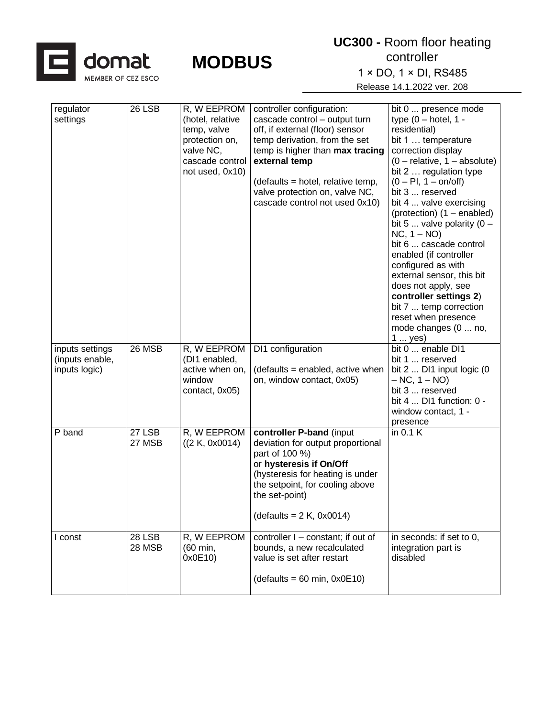

| regulator<br>settings                               | 26 LSB                  | R, W EEPROM<br>(hotel, relative<br>temp, valve<br>protection on,<br>valve NC,<br>cascade control<br>not used, 0x10) | controller configuration:<br>cascade control - output turn<br>off, if external (floor) sensor<br>temp derivation, from the set<br>temp is higher than max tracing<br>external temp<br>(defaults = hotel, relative temp,<br>valve protection on, valve NC,<br>cascade control not used 0x10) | bit 0  presence mode<br>type $(0 - hotel, 1 -$<br>residential)<br>bit 1  temperature<br>correction display<br>$(0 -$ relative, $1 -$ absolute)<br>bit 2  regulation type<br>$(0 - Pl, 1 - on/off)$<br>bit 3  reserved<br>bit 4  valve exercising<br>(protection) (1 - enabled)<br>bit 5  valve polarity $(0 -$<br>$NC, 1 - NO$<br>bit 6  cascade control<br>enabled (if controller<br>configured as with<br>external sensor, this bit<br>does not apply, see<br>controller settings 2)<br>bit 7  temp correction<br>reset when presence<br>mode changes (0  no,<br>1  yes) |
|-----------------------------------------------------|-------------------------|---------------------------------------------------------------------------------------------------------------------|---------------------------------------------------------------------------------------------------------------------------------------------------------------------------------------------------------------------------------------------------------------------------------------------|----------------------------------------------------------------------------------------------------------------------------------------------------------------------------------------------------------------------------------------------------------------------------------------------------------------------------------------------------------------------------------------------------------------------------------------------------------------------------------------------------------------------------------------------------------------------------|
| inputs settings<br>(inputs enable,<br>inputs logic) | 26 MSB                  | R, W EEPROM<br>(DI1 enabled,<br>active when on,<br>window<br>contact, 0x05)                                         | DI1 configuration<br>(defaults = enabled, active when<br>on, window contact, 0x05)                                                                                                                                                                                                          | bit 0  enable DI1<br>bit 1  reserved<br>bit $2 \ldots$ DI1 input logic (0<br>$- NC, 1 - NO$<br>bit 3  reserved<br>bit 4  DI1 function: 0 -<br>window contact, 1 -<br>presence                                                                                                                                                                                                                                                                                                                                                                                              |
| P band                                              | 27 LSB<br>27 MSB        | R, W EEPROM<br>((2 K, 0x0014))                                                                                      | controller P-band (input<br>deviation for output proportional<br>part of 100 %)<br>or hysteresis if On/Off<br>(hysteresis for heating is under<br>the setpoint, for cooling above<br>the set-point)<br>$(detaults = 2 K, 0x0014)$                                                           | in $0.1 K$                                                                                                                                                                                                                                                                                                                                                                                                                                                                                                                                                                 |
| I const                                             | <b>28 LSB</b><br>28 MSB | R, W EEPROM<br>(60 min,<br>0x0E10)                                                                                  | controller I - constant; if out of<br>bounds, a new recalculated<br>value is set after restart<br>$(detaults = 60 min, 0x0E10)$                                                                                                                                                             | in seconds: if set to 0,<br>integration part is<br>disabled                                                                                                                                                                                                                                                                                                                                                                                                                                                                                                                |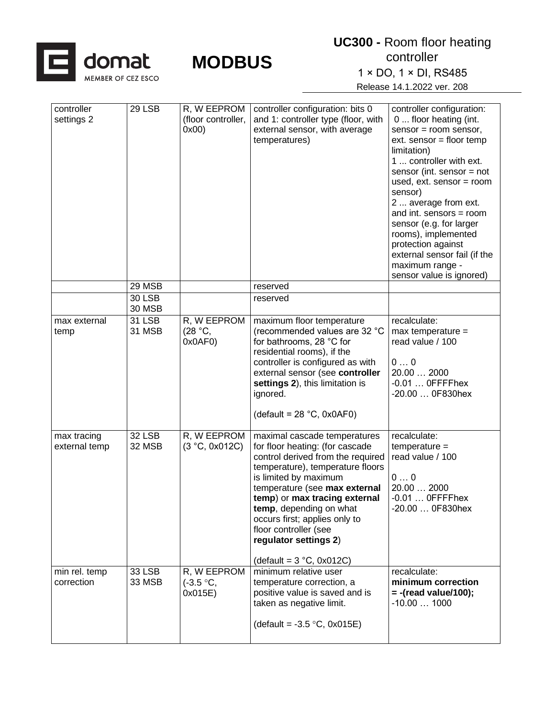

1 × DO, 1 × DI, RS485

| controller<br>settings 2     | 29 LSB                  | R, W EEPROM<br>(floor controller,<br>0x00 | controller configuration: bits 0<br>and 1: controller type (floor, with<br>external sensor, with average<br>temperatures)                                                                                                                                                                                                                                                              | controller configuration:<br>0  floor heating (int.<br>sensor = room sensor,<br>$ext.$ sensor = floor temp<br>limitation)<br>1  controller with ext.<br>sensor (int. sensor $=$ not<br>used, ext. sensor = room<br>sensor)<br>2  average from ext.<br>and int. sensors = $room$<br>sensor (e.g. for larger<br>rooms), implemented<br>protection against<br>external sensor fail (if the<br>maximum range -<br>sensor value is ignored) |
|------------------------------|-------------------------|-------------------------------------------|----------------------------------------------------------------------------------------------------------------------------------------------------------------------------------------------------------------------------------------------------------------------------------------------------------------------------------------------------------------------------------------|----------------------------------------------------------------------------------------------------------------------------------------------------------------------------------------------------------------------------------------------------------------------------------------------------------------------------------------------------------------------------------------------------------------------------------------|
|                              | 29 MSB                  |                                           | reserved                                                                                                                                                                                                                                                                                                                                                                               |                                                                                                                                                                                                                                                                                                                                                                                                                                        |
|                              | <b>30 LSB</b><br>30 MSB |                                           | reserved                                                                                                                                                                                                                                                                                                                                                                               |                                                                                                                                                                                                                                                                                                                                                                                                                                        |
| max external<br>temp         | 31 LSB<br>31 MSB        | R, W EEPROM<br>(28 °C,<br>0x0AF0          | maximum floor temperature<br>(recommended values are 32 °C<br>for bathrooms, 28 °C for<br>residential rooms), if the<br>controller is configured as with<br>external sensor (see controller<br>settings 2), this limitation is<br>ignored.<br>(default = $28 °C$ , 0x0AF0)                                                                                                             | recalculate:<br>$max$ temperature =<br>read value / 100<br>00<br>20.00  2000<br>$-0.01$ OFFFFhex<br>-20.00  0F830hex                                                                                                                                                                                                                                                                                                                   |
| max tracing<br>external temp | 32 LSB<br>32 MSB        | R, W EEPROM<br>(3 °C, 0x012C)             | maximal cascade temperatures<br>for floor heating: (for cascade<br>control derived from the required<br>temperature), temperature floors<br>is limited by maximum<br>temperature (see max external<br>temp) or max tracing external<br>temp, depending on what<br>occurs first; applies only to<br>floor controller (see<br>regulator settings 2)<br>(default = $3^{\circ}C$ , 0x012C) | recalculate:<br>$temperature =$<br>read value / 100<br>00<br>20.00  2000<br>$-0.01$ OFFFFhex<br>-20.00  0F830hex                                                                                                                                                                                                                                                                                                                       |
| min rel. temp<br>correction  | <b>33 LSB</b><br>33 MSB | R, W EEPROM<br>$(-3.5 °C,$<br>0x015E)     | minimum relative user<br>temperature correction, a<br>positive value is saved and is<br>taken as negative limit.<br>(default = $-3.5$ °C, 0x015E)                                                                                                                                                                                                                                      | recalculate:<br>minimum correction<br>$= -$ (read value/100);<br>$-10.001000$                                                                                                                                                                                                                                                                                                                                                          |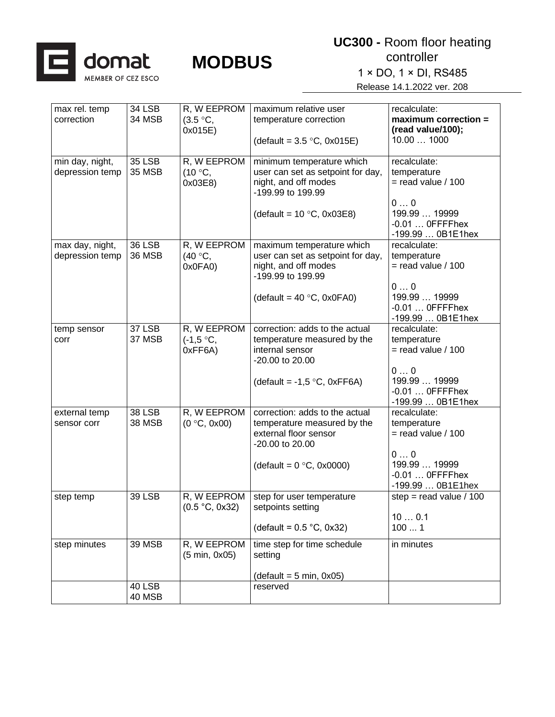

| max rel. temp<br>correction        | <b>34 LSB</b><br>34 MSB        | R, W EEPROM<br>$(3.5 \degree C,$<br>0x015E) | maximum relative user<br>temperature correction                                                                                                   | recalculate:<br>$maximum correction =$<br>(read value/100);                                                         |
|------------------------------------|--------------------------------|---------------------------------------------|---------------------------------------------------------------------------------------------------------------------------------------------------|---------------------------------------------------------------------------------------------------------------------|
|                                    |                                |                                             | (default = $3.5 \text{ °C}$ , 0x015E)                                                                                                             | 10.00  1000                                                                                                         |
| min day, night,<br>depression temp | <b>35 LSB</b><br><b>35 MSB</b> | R, W EEPROM<br>(10 °C,<br>0x03E8)           | minimum temperature which<br>user can set as setpoint for day,<br>night, and off modes<br>-199.99 to 199.99<br>(default = $10 °C$ , 0x03E8)       | recalculate:<br>temperature<br>$=$ read value / 100<br>00<br>199.99  19999<br>$-0.01$ OFFFFhex<br>-199.99  0B1E1hex |
| max day, night,<br>depression temp | 36 LSB<br><b>36 MSB</b>        | R, W EEPROM<br>(40 °C,<br>0x0FA0)           | maximum temperature which<br>user can set as setpoint for day,<br>night, and off modes<br>-199.99 to 199.99<br>(default = $40^{\circ}$ C, 0x0FA0) | recalculate:<br>temperature<br>$=$ read value / 100<br>00<br>199.99  19999<br>$-0.01$ OFFFFhex<br>-199.99  0B1E1hex |
| temp sensor<br>corr                | <b>37 LSB</b><br>37 MSB        | R, W EEPROM<br>$(-1,5 °C,$<br>0xFF6A)       | correction: adds to the actual<br>temperature measured by the<br>internal sensor<br>-20.00 to 20.00<br>(default = -1,5 $\degree$ C, 0xFF6A)       | recalculate:<br>temperature<br>$=$ read value / 100<br>00<br>199.99  19999<br>$-0.01$ OFFFFhex<br>-199.99  0B1E1hex |
| external temp<br>sensor corr       | <b>38 LSB</b><br>38 MSB        | R, W EEPROM<br>(0 °C, 0x00)                 | correction: adds to the actual<br>temperature measured by the<br>external floor sensor<br>-20.00 to 20.00<br>(default = $0^{\circ}$ C, 0x0000)    | recalculate:<br>temperature<br>$=$ read value / 100<br>00<br>199.99  19999<br>$-0.01$ OFFFFhex<br>-199.99  0B1E1hex |
| step temp                          | <b>39 LSB</b>                  | R, W EEPROM<br>(0.5 °C, 0x32)               | step for user temperature<br>setpoints setting<br>(default = $0.5$ °C, 0x32)                                                                      | step = read value $/ 100$<br>100.1<br>1001                                                                          |
| step minutes                       | <b>39 MSB</b>                  | R, W EEPROM<br>(5 min, 0x05)                | time step for time schedule<br>setting<br>$(detault = 5 min, 0x05)$                                                                               | in minutes                                                                                                          |
|                                    | 40 LSB<br>40 MSB               |                                             | reserved                                                                                                                                          |                                                                                                                     |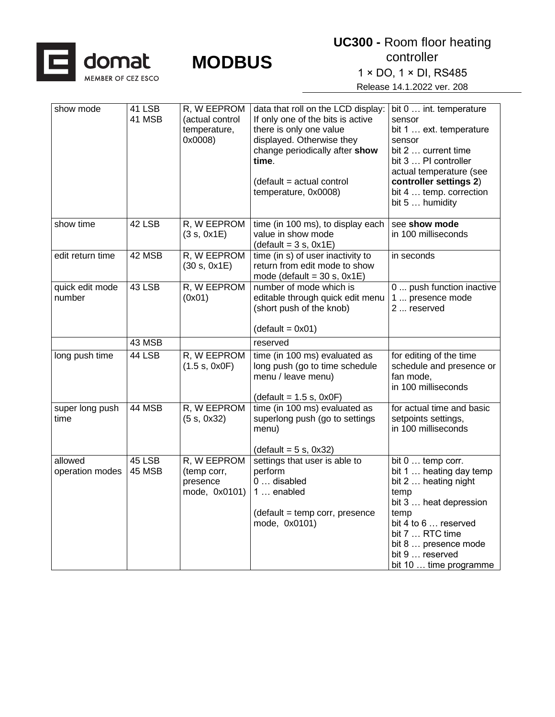

1 × DO, 1 × DI, RS485

| show mode                  | 41 LSB<br>41 MSB | R, W EEPROM<br>(actual control<br>temperature,<br>0x0008) | data that roll on the LCD display:<br>If only one of the bits is active<br>there is only one value<br>displayed. Otherwise they<br>change periodically after show<br>time.<br>(default = actual control<br>temperature, 0x0008) | bit 0  int. temperature<br>sensor<br>bit 1  ext. temperature<br>sensor<br>bit 2  current time<br>bit 3  PI controller<br>actual temperature (see<br>controller settings 2)<br>bit 4  temp. correction<br>bit 5  humidity       |
|----------------------------|------------------|-----------------------------------------------------------|---------------------------------------------------------------------------------------------------------------------------------------------------------------------------------------------------------------------------------|--------------------------------------------------------------------------------------------------------------------------------------------------------------------------------------------------------------------------------|
| show time                  | 42 LSB           | R, W EEPROM<br>(3 s, 0x1E)                                | time (in 100 ms), to display each<br>value in show mode<br>$(detault = 3 s, 0x1E)$                                                                                                                                              | see show mode<br>in 100 milliseconds                                                                                                                                                                                           |
| edit return time           | 42 MSB           | R, W EEPROM<br>(30 s, 0x1E)                               | time (in s) of user inactivity to<br>return from edit mode to show<br>mode (default = $30$ s, $0x1E$ )                                                                                                                          | in seconds                                                                                                                                                                                                                     |
| quick edit mode<br>number  | 43 LSB           | R, W EEPROM<br>(0x01)                                     | number of mode which is<br>editable through quick edit menu<br>(short push of the knob)<br>$(detault = 0x01)$                                                                                                                   | 0  push function inactive<br>1  presence mode<br>2  reserved                                                                                                                                                                   |
|                            | 43 MSB           |                                                           | reserved                                                                                                                                                                                                                        |                                                                                                                                                                                                                                |
| long push time             | 44 LSB           | R, W EEPROM<br>(1.5 s, 0x0F)                              | time (in 100 ms) evaluated as<br>long push (go to time schedule<br>menu / leave menu)<br>$(detault = 1.5 s, 0x0F)$                                                                                                              | for editing of the time<br>schedule and presence or<br>fan mode,<br>in 100 milliseconds                                                                                                                                        |
| super long push<br>time    | 44 MSB           | R, W EEPROM<br>(5 s, 0x32)                                | time (in 100 ms) evaluated as<br>superlong push (go to settings<br>menu)<br>$(detault = 5 s, 0x32)$                                                                                                                             | for actual time and basic<br>setpoints settings,<br>in 100 milliseconds                                                                                                                                                        |
| allowed<br>operation modes | 45 LSB<br>45 MSB | R, W EEPROM<br>(temp corr,<br>presence<br>mode, 0x0101)   | settings that user is able to<br>perform<br>0  disabled<br>1  enabled<br>(default = temp corr, presence<br>mode, 0x0101)                                                                                                        | bit 0  temp corr.<br>bit 1  heating day temp<br>bit 2  heating night<br>temp<br>bit 3  heat depression<br>temp<br>bit 4 to 6  reserved<br>bit 7  RTC time<br>bit 8  presence mode<br>bit 9  reserved<br>bit 10  time programme |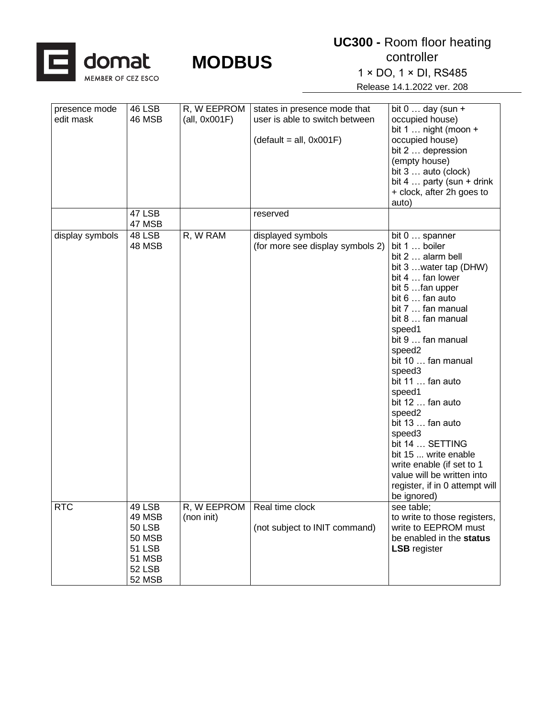

**UC300 -** Room floor heating controller

1 × DO, 1 × DI, RS485

| presence mode   | 46 LSB        | R, W EEPROM                   | states in presence mode that     | bit $0 \ldots$ day (sun +                       |
|-----------------|---------------|-------------------------------|----------------------------------|-------------------------------------------------|
| edit mask       | 46 MSB        | (all, 0x001F)                 | user is able to switch between   | occupied house)<br>bit $1 \ldots$ night (moon + |
|                 |               |                               | $(detault = all, 0x001F)$        | occupied house)                                 |
|                 |               |                               |                                  | bit 2  depression                               |
|                 |               |                               |                                  | (empty house)                                   |
|                 |               |                               |                                  | bit 3  auto (clock)                             |
|                 |               |                               |                                  | bit $4 \ldots$ party (sun + drink               |
|                 |               |                               |                                  | + clock, after 2h goes to                       |
|                 |               |                               |                                  | auto)                                           |
|                 | 47 LSB        |                               | reserved                         |                                                 |
|                 | 47 MSB        |                               |                                  |                                                 |
| display symbols | 48 LSB        | R, W RAM                      | displayed symbols                | bit 0  spanner                                  |
|                 | 48 MSB        |                               | (for more see display symbols 2) | bit 1  boiler                                   |
|                 |               |                               |                                  | bit 2  alarm bell                               |
|                 |               |                               |                                  | bit 3  water tap (DHW)                          |
|                 |               |                               |                                  | bit 4  fan lower<br>bit 5 fan upper             |
|                 |               |                               |                                  | bit 6  fan auto                                 |
|                 |               |                               |                                  | bit 7  fan manual                               |
|                 |               |                               |                                  | bit 8  fan manual                               |
|                 |               |                               |                                  | speed1                                          |
|                 |               |                               |                                  | bit 9  fan manual                               |
|                 |               |                               |                                  | speed2                                          |
|                 |               |                               |                                  | bit 10  fan manual                              |
|                 |               |                               |                                  | speed3                                          |
|                 |               |                               |                                  | bit 11  fan auto                                |
|                 |               |                               |                                  | speed1                                          |
|                 |               |                               |                                  | bit 12  fan auto                                |
|                 |               |                               |                                  | speed2                                          |
|                 |               |                               |                                  | bit 13  fan auto                                |
|                 |               |                               |                                  | speed3                                          |
|                 |               |                               |                                  | bit 14  SETTING                                 |
|                 |               |                               |                                  | bit 15  write enable                            |
|                 |               |                               |                                  | write enable (if set to 1                       |
|                 |               |                               |                                  | value will be written into                      |
|                 |               |                               |                                  | register, if in 0 attempt will<br>be ignored)   |
| <b>RTC</b>      | 49 LSB        | R, W EEPROM   Real time clock |                                  | see table:                                      |
|                 | 49 MSB        | (non init)                    |                                  | to write to those registers,                    |
|                 | <b>50 LSB</b> |                               | (not subject to INIT command)    | write to EEPROM must                            |
|                 | <b>50 MSB</b> |                               |                                  | be enabled in the status                        |
|                 | <b>51 LSB</b> |                               |                                  | <b>LSB</b> register                             |
|                 | 51 MSB        |                               |                                  |                                                 |
|                 | <b>52 LSB</b> |                               |                                  |                                                 |
|                 | 52 MSB        |                               |                                  |                                                 |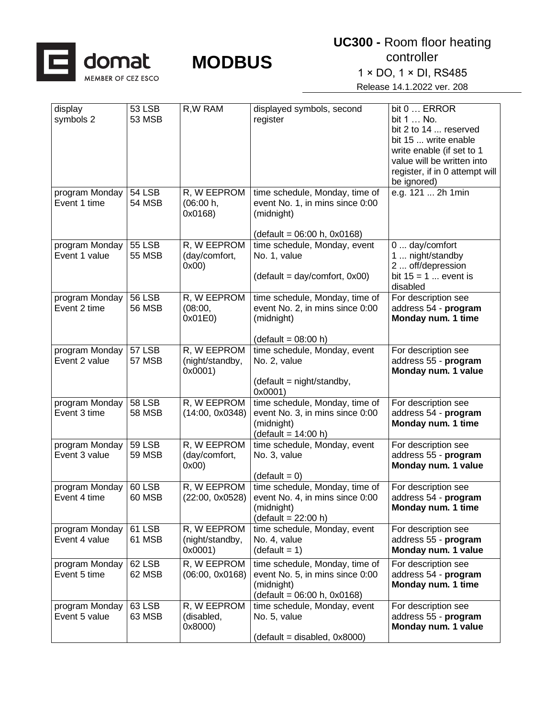

controller 1 × DO, 1 × DI, RS485

| display<br>symbols 2            | 53 LSB<br>53 MSB               | R, W RAM                                  | displayed symbols, second<br>register                                                                            | bit 0  ERROR<br>bit 1  No.<br>bit 2 to 14  reserved<br>bit 15  write enable<br>write enable (if set to 1<br>value will be written into<br>register, if in 0 attempt will<br>be ignored) |
|---------------------------------|--------------------------------|-------------------------------------------|------------------------------------------------------------------------------------------------------------------|-----------------------------------------------------------------------------------------------------------------------------------------------------------------------------------------|
| program Monday<br>Event 1 time  | <b>54 LSB</b><br>54 MSB        | R, W EEPROM<br>(06:00 h,<br>0x0168)       | time schedule, Monday, time of<br>event No. 1, in mins since 0:00<br>(midnight)<br>$(detault = 06:00 h, 0x0168)$ | e.g. 121  2h 1min                                                                                                                                                                       |
| program Monday<br>Event 1 value | <b>55 LSB</b><br><b>55 MSB</b> | R, W EEPROM<br>(day/comfort,<br>0x00      | time schedule, Monday, event<br>No. 1, value<br>$(detault = day/confort, 0x00)$                                  | 0  day/comfort<br>1  night/standby<br>2  off/depression<br>bit $15 = 1$ event is<br>disabled                                                                                            |
| program Monday<br>Event 2 time  | <b>56 LSB</b><br>56 MSB        | R, W EEPROM<br>(08:00,<br>0x01E0)         | time schedule, Monday, time of<br>event No. 2, in mins since 0:00<br>(midnight)<br>$(detault = 08:00 h)$         | For description see<br>address 54 - program<br>Monday num. 1 time                                                                                                                       |
| program Monday<br>Event 2 value | 57 LSB<br>57 MSB               | R, W EEPROM<br>(night/standby,<br>0x0001) | time schedule, Monday, event<br>No. 2, value<br>$(detault = night/standby,$<br>0x0001)                           | For description see<br>address 55 - program<br>Monday num. 1 value                                                                                                                      |
| program Monday<br>Event 3 time  | <b>58 LSB</b><br><b>58 MSB</b> | R, W EEPROM<br>(14:00, 0x0348)            | time schedule, Monday, time of<br>event No. 3, in mins since 0:00<br>(midnight)<br>$(detault = 14:00 h)$         | For description see<br>address 54 - program<br>Monday num. 1 time                                                                                                                       |
| program Monday<br>Event 3 value | <b>59 LSB</b><br><b>59 MSB</b> | R, W EEPROM<br>(day/comfort,<br>0x00      | time schedule, Monday, event<br>No. 3, value<br>$(detault = 0)$                                                  | For description see<br>address 55 - program<br>Monday num. 1 value                                                                                                                      |
| program Monday<br>Event 4 time  | 60 LSB<br>60 MSB               | R, W EEPROM<br>(22:00, 0x0528)            | time schedule, Monday, time of<br>event No. 4, in mins since 0:00<br>(midnight)<br>$(detault = 22:00 h)$         | For description see<br>address 54 - program<br>Monday num. 1 time                                                                                                                       |
| program Monday<br>Event 4 value | 61 LSB<br>61 MSB               | R, W EEPROM<br>(night/standby,<br>0x0001) | time schedule, Monday, event<br>No. 4, value<br>$(detault = 1)$                                                  | For description see<br>address 55 - program<br>Monday num. 1 value                                                                                                                      |
| program Monday<br>Event 5 time  | 62 LSB<br>62 MSB               | R, W EEPROM<br>(06:00, 0x0168)            | time schedule, Monday, time of<br>event No. 5, in mins since 0:00<br>(midnight)<br>$(detault = 06:00 h, 0x0168)$ | For description see<br>address 54 - program<br>Monday num. 1 time                                                                                                                       |
| program Monday<br>Event 5 value | 63 LSB<br>63 MSB               | R, W EEPROM<br>(disabled,<br>0x8000)      | time schedule, Monday, event<br>No. 5, value<br>$(detault = disabled, 0x8000)$                                   | For description see<br>address 55 - program<br>Monday num. 1 value                                                                                                                      |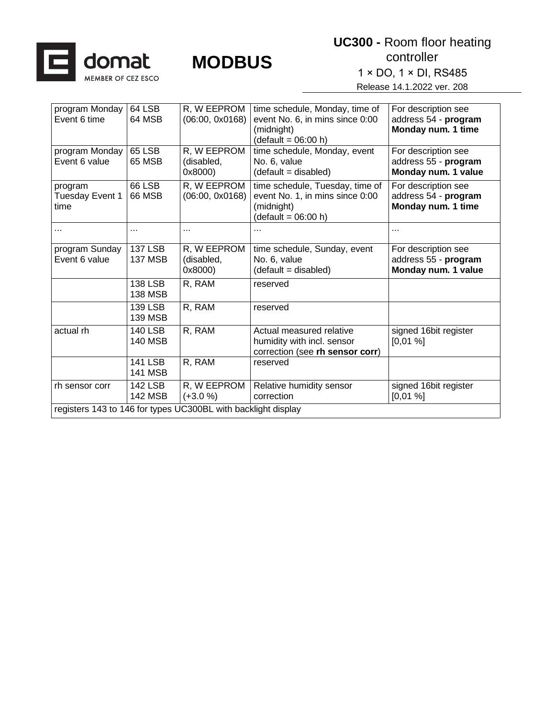

1 × DO, 1 × DI, RS485

| program Monday<br>Event 6 time                                | 64 LSB<br>64 MSB                 | R, W EEPROM<br>(06:00, 0x0168)       | time schedule, Monday, time of<br>event No. 6, in mins since 0:00<br>(midnight)<br>$(detault = 06:00 h)$  | For description see<br>address 54 - program<br>Monday num. 1 time  |
|---------------------------------------------------------------|----------------------------------|--------------------------------------|-----------------------------------------------------------------------------------------------------------|--------------------------------------------------------------------|
| program Monday<br>Event 6 value                               | 65 LSB<br>65 MSB                 | R, W EEPROM<br>(disabled,<br>0x8000) | time schedule, Monday, event<br>No. 6, value<br>(default = disabled)                                      | For description see<br>address 55 - program<br>Monday num. 1 value |
| program<br>Tuesday Event 1<br>time                            | 66 LSB<br>66 MSB                 | R, W EEPROM<br>(06:00, 0x0168)       | time schedule, Tuesday, time of<br>event No. 1, in mins since 0:00<br>(midnight)<br>$(detault = 06:00 h)$ | For description see<br>address 54 - program<br>Monday num. 1 time  |
| $\cdots$                                                      | $\cdots$                         |                                      |                                                                                                           | .                                                                  |
| program Sunday<br>Event 6 value                               | <b>137 LSB</b><br><b>137 MSB</b> | R, W EEPROM<br>(disabled,<br>0x8000) | time schedule, Sunday, event<br>No. 6, value<br>(default = disabled)                                      | For description see<br>address 55 - program<br>Monday num. 1 value |
|                                                               | <b>138 LSB</b><br><b>138 MSB</b> | R, RAM                               | reserved                                                                                                  |                                                                    |
|                                                               | 139 LSB<br>139 MSB               | R, RAM                               | reserved                                                                                                  |                                                                    |
| actual rh                                                     | <b>140 LSB</b><br><b>140 MSB</b> | R, RAM                               | Actual measured relative<br>humidity with incl. sensor<br>correction (see rh sensor corr)                 | signed 16bit register<br>[0,01%]                                   |
|                                                               | <b>141 LSB</b><br><b>141 MSB</b> | R, RAM                               | reserved                                                                                                  |                                                                    |
| rh sensor corr                                                | <b>142 LSB</b><br>142 MSB        | R, W EEPROM<br>$(+3.0 %)$            | Relative humidity sensor<br>correction                                                                    | signed 16bit register<br>[0,01%]                                   |
| registers 143 to 146 for types UC300BL with backlight display |                                  |                                      |                                                                                                           |                                                                    |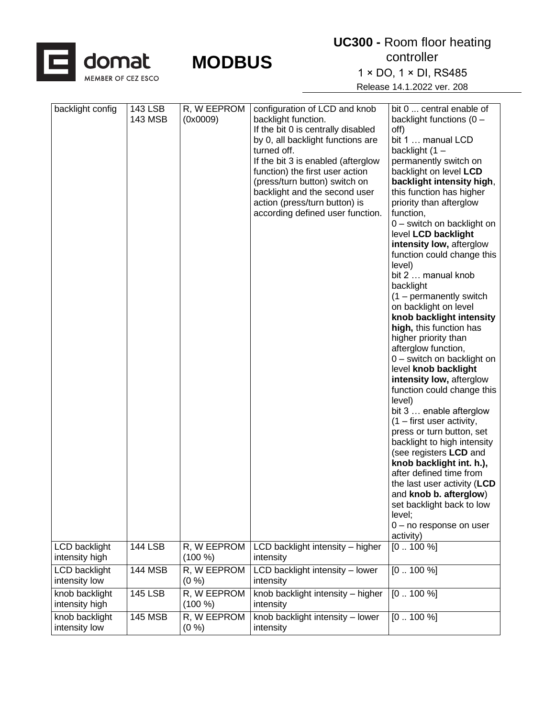

1 × DO, 1 × DI, RS485

| backlight config                      | 143 LSB<br><b>143 MSB</b> | R, W EEPROM<br>(0x0009)            | configuration of LCD and knob<br>backlight function.<br>If the bit 0 is centrally disabled<br>by 0, all backlight functions are<br>turned off.<br>If the bit 3 is enabled (afterglow<br>function) the first user action<br>(press/turn button) switch on<br>backlight and the second user<br>action (press/turn button) is<br>according defined user function. | bit 0  central enable of<br>backlight functions $(0 -$<br>off)<br>bit 1  manual LCD<br>backlight $(1 -$<br>permanently switch on<br>backlight on level LCD<br>backlight intensity high,<br>this function has higher<br>priority than afterglow<br>function,<br>0 - switch on backlight on<br>level LCD backlight<br>intensity low, afterglow<br>function could change this<br>level)<br>bit 2  manual knob<br>backlight<br>$(1 -$ permanently switch<br>on backlight on level<br>knob backlight intensity<br>high, this function has<br>higher priority than<br>afterglow function,<br>0 - switch on backlight on<br>level knob backlight<br>intensity low, afterglow<br>function could change this<br>level)<br>bit 3  enable afterglow<br>$(1 -$ first user activity,<br>press or turn button, set<br>backlight to high intensity<br>(see registers LCD and<br>knob backlight int. h.),<br>after defined time from<br>the last user activity (LCD<br>and knob b. afterglow)<br>set backlight back to low<br>level;<br>0 - no response on user<br>activity) |
|---------------------------------------|---------------------------|------------------------------------|----------------------------------------------------------------------------------------------------------------------------------------------------------------------------------------------------------------------------------------------------------------------------------------------------------------------------------------------------------------|--------------------------------------------------------------------------------------------------------------------------------------------------------------------------------------------------------------------------------------------------------------------------------------------------------------------------------------------------------------------------------------------------------------------------------------------------------------------------------------------------------------------------------------------------------------------------------------------------------------------------------------------------------------------------------------------------------------------------------------------------------------------------------------------------------------------------------------------------------------------------------------------------------------------------------------------------------------------------------------------------------------------------------------------------------------|
| LCD backlight<br>intensity high       | <b>144 LSB</b>            | R, W EEPROM<br>(100 %)             | LCD backlight intensity - higher<br>intensity                                                                                                                                                                                                                                                                                                                  | $[0 100 \%]$                                                                                                                                                                                                                                                                                                                                                                                                                                                                                                                                                                                                                                                                                                                                                                                                                                                                                                                                                                                                                                                 |
| <b>LCD</b> backlight<br>intensity low | <b>144 MSB</b>            | R, W EEPROM<br>(0 %)               | LCD backlight intensity - lower<br>intensity                                                                                                                                                                                                                                                                                                                   | $[0 100 \overline{\%}]$                                                                                                                                                                                                                                                                                                                                                                                                                                                                                                                                                                                                                                                                                                                                                                                                                                                                                                                                                                                                                                      |
| knob backlight<br>intensity high      | <b>145 LSB</b>            | R, W EEPROM<br>(100 %)             | knob backlight intensity - higher<br>intensity                                                                                                                                                                                                                                                                                                                 | $[0 100 \%]$                                                                                                                                                                                                                                                                                                                                                                                                                                                                                                                                                                                                                                                                                                                                                                                                                                                                                                                                                                                                                                                 |
| knob backlight<br>intensity low       | <b>145 MSB</b>            | $\overline{R}$ , W EEPROM<br>(0 %) | knob backlight intensity - lower<br>intensity                                                                                                                                                                                                                                                                                                                  | $[0 100 \%]$                                                                                                                                                                                                                                                                                                                                                                                                                                                                                                                                                                                                                                                                                                                                                                                                                                                                                                                                                                                                                                                 |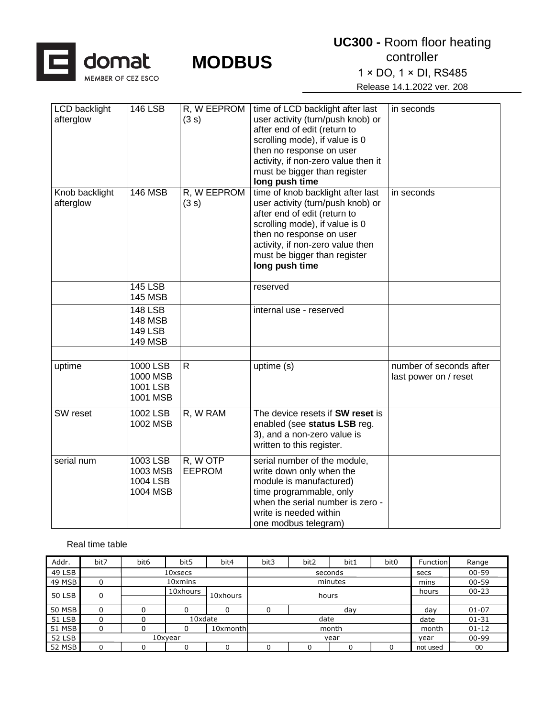

1 × DO, 1 × DI, RS485

Release 14.1.2022 ver. 208

| LCD backlight<br>afterglow  | <b>146 LSB</b>                                                       | R, W EEPROM<br>(3 s)      | time of LCD backlight after last<br>user activity (turn/push knob) or<br>after end of edit (return to<br>scrolling mode), if value is 0<br>then no response on user<br>activity, if non-zero value then it<br>must be bigger than register<br>long push time | in seconds                                       |
|-----------------------------|----------------------------------------------------------------------|---------------------------|--------------------------------------------------------------------------------------------------------------------------------------------------------------------------------------------------------------------------------------------------------------|--------------------------------------------------|
| Knob backlight<br>afterglow | <b>146 MSB</b>                                                       | R, W EEPROM<br>(3 s)      | time of knob backlight after last<br>user activity (turn/push knob) or<br>after end of edit (return to<br>scrolling mode), if value is 0<br>then no response on user<br>activity, if non-zero value then<br>must be bigger than register<br>long push time   | in seconds                                       |
|                             | <b>145 LSB</b><br><b>145 MSB</b>                                     |                           | reserved                                                                                                                                                                                                                                                     |                                                  |
|                             | <b>148 LSB</b><br><b>148 MSB</b><br><b>149 LSB</b><br><b>149 MSB</b> |                           | internal use - reserved                                                                                                                                                                                                                                      |                                                  |
| uptime                      | 1000 LSB<br>1000 MSB<br>1001 LSB<br>1001 MSB                         | $\mathsf{R}$              | uptime (s)                                                                                                                                                                                                                                                   | number of seconds after<br>last power on / reset |
| SW reset                    | 1002 LSB<br>1002 MSB                                                 | R, W RAM                  | The device resets if SW reset is<br>enabled (see status LSB reg.<br>3), and a non-zero value is<br>written to this register.                                                                                                                                 |                                                  |
| serial num                  | 1003 LSB<br>1003 MSB<br>1004 LSB<br>1004 MSB                         | R, W OTP<br><b>EEPROM</b> | serial number of the module,<br>write down only when the<br>module is manufactured)<br>time programmable, only<br>when the serial number is zero -<br>write is needed within<br>one modbus telegram)                                                         |                                                  |

#### Real time table

| Addr.         | bit7    | bit <sub>6</sub> | bit <sub>5</sub> | bit4     | bit3    | bit2 | bit1 | bit <sub>0</sub> | Function | Range     |
|---------------|---------|------------------|------------------|----------|---------|------|------|------------------|----------|-----------|
| 49 LSB        |         |                  | 10xsecs          |          | seconds |      |      |                  | secs     | $00 - 59$ |
| 49 MSB        |         | 10xmins          |                  |          | minutes |      |      |                  | mins     | $00 - 59$ |
| <b>50 LSB</b> | 0       |                  | 10xhours         | 10xhours | hours   |      |      |                  | hours    | $00 - 23$ |
|               |         |                  |                  |          |         |      |      |                  |          |           |
| 50 MSB        |         |                  |                  |          | day     |      |      |                  | day      | $01 - 07$ |
| 51 LSB        |         |                  | 10xdate          |          | date    |      |      |                  | date     | $01 - 31$ |
| 51 MSB        |         |                  |                  | 10xmonth | month   |      |      |                  | month    | $01 - 12$ |
| 52 LSB        | 10xyear |                  |                  |          | vear    |      |      |                  | vear     | $00 - 99$ |
| 52 MSB        |         |                  |                  |          |         |      |      |                  | not used | 00        |